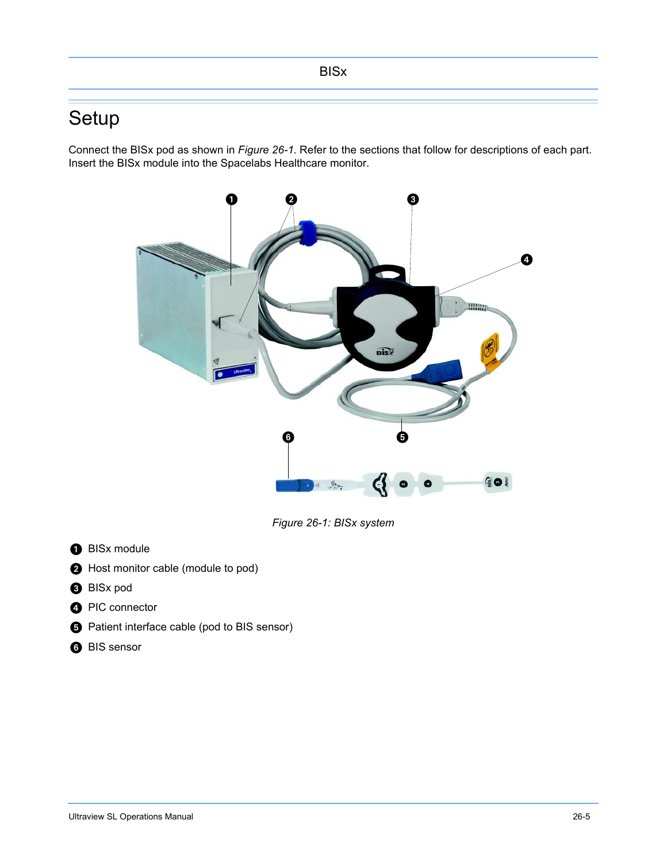# Setup

Connect the BISx pod as shown in *Figure 26-1*. Refer to the sections that follow for descriptions of each part. Insert the BISx module into the Spacelabs Healthcare monitor.



*Figure 26-1: BISx system*

- **O** BISx module
- **A** Host monitor cable (module to pod)
- **BISx pod**
- **O** PIC connector
- $\bigodot$  Patient interface cable (pod to BIS sensor)
- **BIS** sensor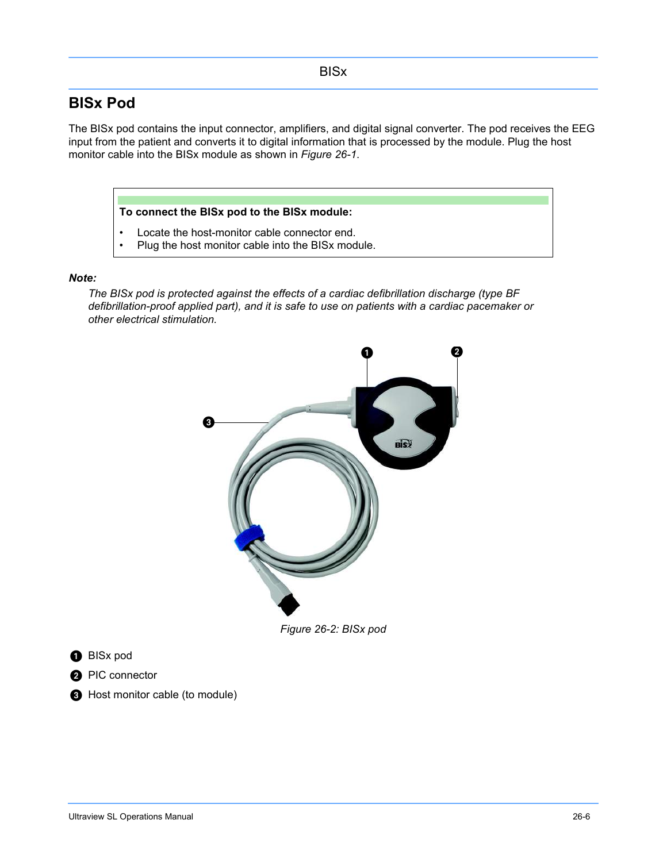## **BISx Pod**

The BISx pod contains the input connector, amplifiers, and digital signal converter. The pod receives the EEG input from the patient and converts it to digital information that is processed by the module. Plug the host monitor cable into the BISx module as shown in *Figure 26-1*.

#### **To connect the BISx pod to the BISx module:**

- Locate the host-monitor cable connector end.
- Plug the host monitor cable into the BISx module.

#### *Note:*

*The BISx pod is protected against the effects of a cardiac defibrillation discharge (type BF defibrillation-proof applied part), and it is safe to use on patients with a cardiac pacemaker or other electrical stimulation.*



*Figure 26-2: BISx pod*

**O** BISx pod

**2** PIC connector

**A** Host monitor cable (to module)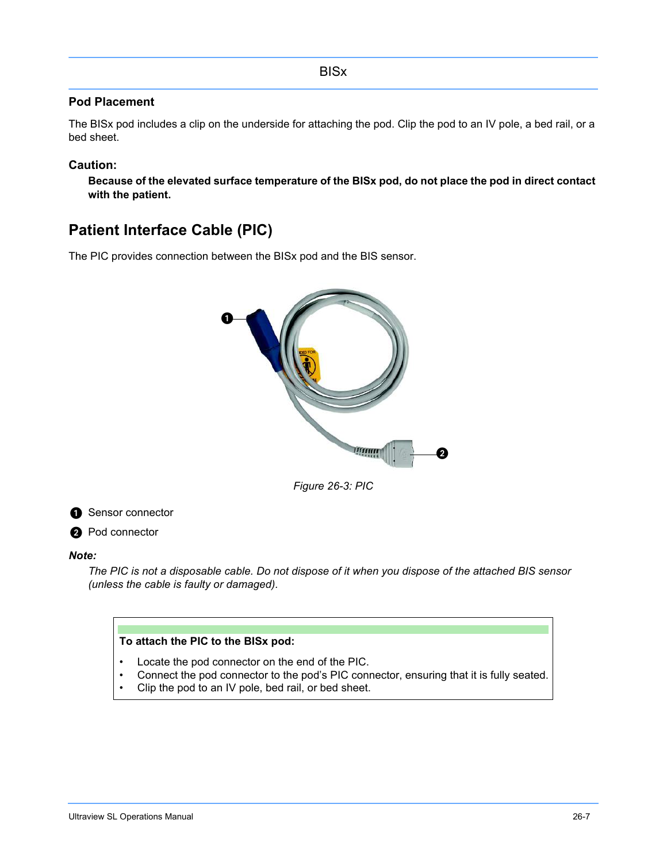### **Pod Placement**

The BISx pod includes a clip on the underside for attaching the pod. Clip the pod to an IV pole, a bed rail, or a bed sheet.

### **Caution:**

**Because of the elevated surface temperature of the BISx pod, do not place the pod in direct contact with the patient.**

# **Patient Interface Cable (PIC)**

The PIC provides connection between the BISx pod and the BIS sensor.



*Figure 26-3: PIC*



#### *Note:*

*The PIC is not a disposable cable. Do not dispose of it when you dispose of the attached BIS sensor (unless the cable is faulty or damaged).*

### **To attach the PIC to the BISx pod:**

- Locate the pod connector on the end of the PIC.
- Connect the pod connector to the pod's PIC connector, ensuring that it is fully seated.
- Clip the pod to an IV pole, bed rail, or bed sheet.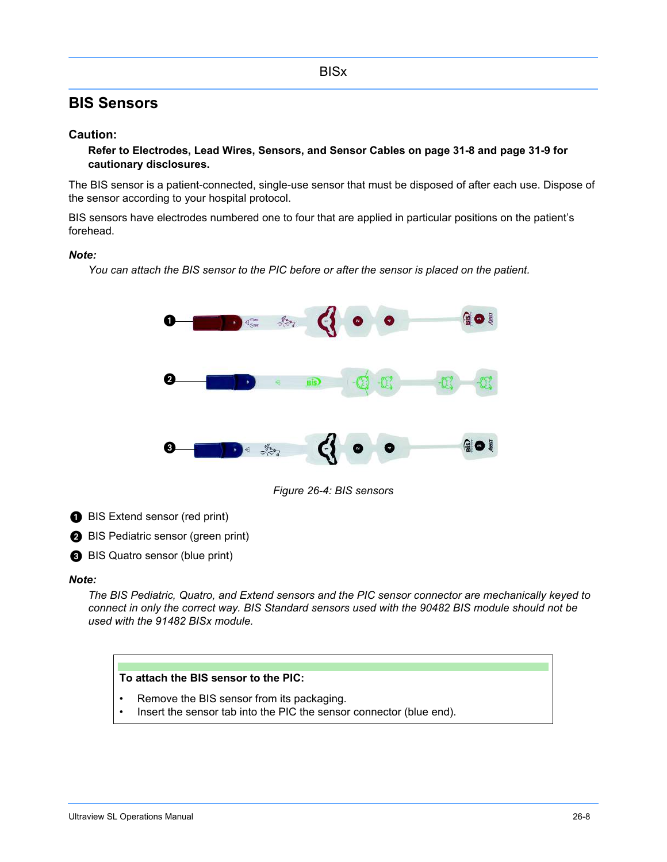## **BIS Sensors**

### **Caution:**

**Refer to Electrodes, Lead Wires, Sensors, and Sensor Cables on page 31-8 and page 31-9 for cautionary disclosures.**

The BIS sensor is a patient-connected, single-use sensor that must be disposed of after each use. Dispose of the sensor according to your hospital protocol.

BIS sensors have electrodes numbered one to four that are applied in particular positions on the patient's forehead.

#### *Note:*

*You can attach the BIS sensor to the PIC before or after the sensor is placed on the patient.*



*Figure 26-4: BIS sensors*

- BIS Extend sensor (red print)
- **BIS Pediatric sensor (green print)**
- BIS Quatro sensor (blue print)

#### *Note:*

*The BIS Pediatric, Quatro, and Extend sensors and the PIC sensor connector are mechanically keyed to connect in only the correct way. BIS Standard sensors used with the 90482 BIS module should not be used with the 91482 BISx module.*

### **To attach the BIS sensor to the PIC:**

- Remove the BIS sensor from its packaging.
- Insert the sensor tab into the PIC the sensor connector (blue end).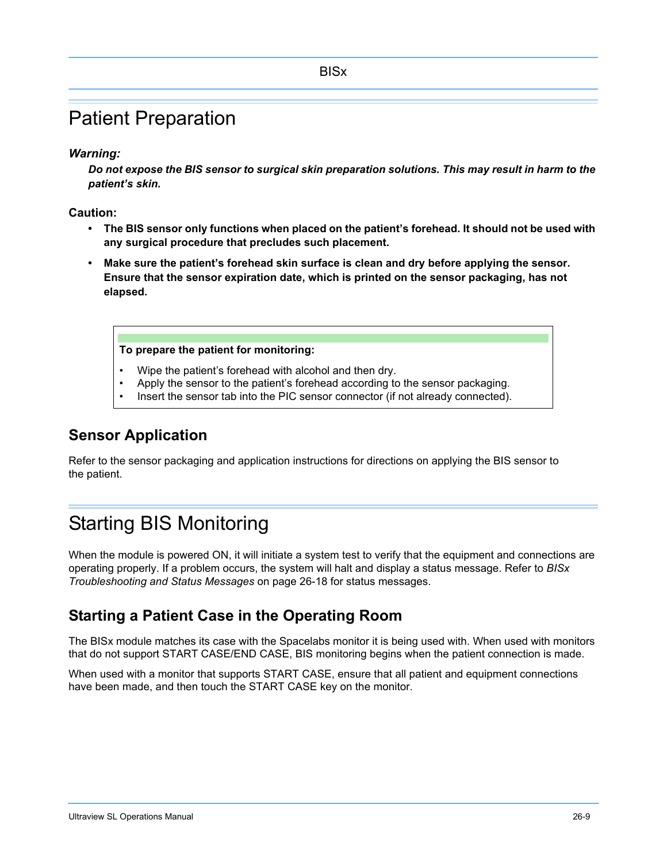# Patient Preparation

*Warning:*

*Do not expose the BIS sensor to surgical skin preparation solutions. This may result in harm to the patient's skin.*

**Caution:**

- **The BIS sensor only functions when placed on the patient's forehead. It should not be used with any surgical procedure that precludes such placement.**
- **Make sure the patient's forehead skin surface is clean and dry before applying the sensor. Ensure that the sensor expiration date, which is printed on the sensor packaging, has not elapsed.**

#### **To prepare the patient for monitoring:**

- Wipe the patient's forehead with alcohol and then dry.
- Apply the sensor to the patient's forehead according to the sensor packaging.
- Insert the sensor tab into the PIC sensor connector (if not already connected).

# **Sensor Application**

Refer to the sensor packaging and application instructions for directions on applying the BIS sensor to the patient.

# Starting BIS Monitoring

When the module is powered ON, it will initiate a system test to verify that the equipment and connections are operating properly. If a problem occurs, the system will halt and display a status message. Refer to *BISx Troubleshooting and Status Messages* on page 26-18 for status messages.

# **Starting a Patient Case in the Operating Room**

The BISx module matches its case with the Spacelabs monitor it is being used with. When used with monitors that do not support START CASE/END CASE, BIS monitoring begins when the patient connection is made.

When used with a monitor that supports START CASE, ensure that all patient and equipment connections have been made, and then touch the START CASE key on the monitor.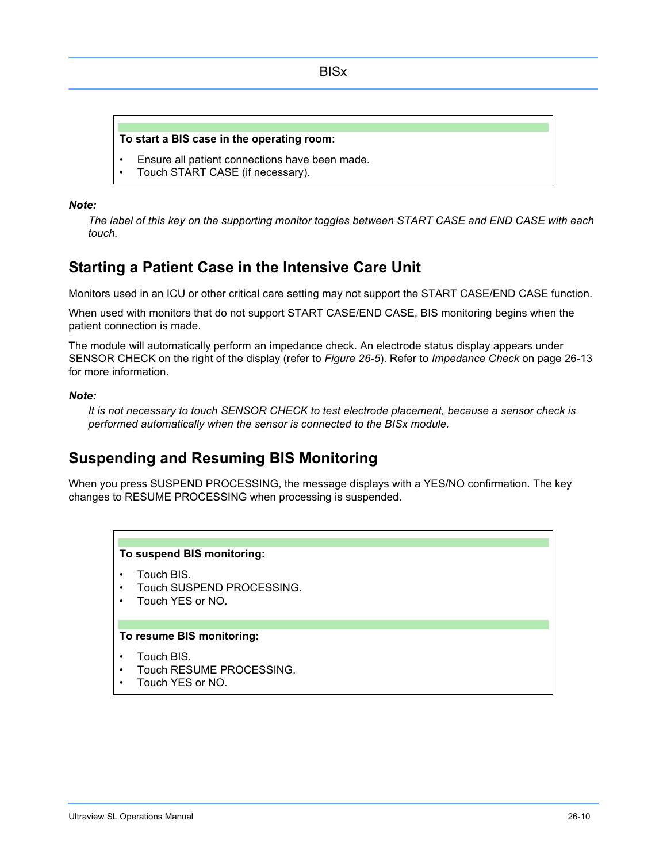#### **To start a BIS case in the operating room:**

- Ensure all patient connections have been made.
- Touch START CASE (if necessary).

#### *Note:*

*The label of this key on the supporting monitor toggles between START CASE and END CASE with each touch.*

## **Starting a Patient Case in the Intensive Care Unit**

Monitors used in an ICU or other critical care setting may not support the START CASE/END CASE function.

When used with monitors that do not support START CASE/END CASE, BIS monitoring begins when the patient connection is made.

The module will automatically perform an impedance check. An electrode status display appears under SENSOR CHECK on the right of the display (refer to *Figure 26-5*). Refer to *Impedance Check* on page 26-13 for more information.

#### *Note:*

*It is not necessary to touch SENSOR CHECK to test electrode placement, because a sensor check is performed automatically when the sensor is connected to the BISx module.*

## **Suspending and Resuming BIS Monitoring**

When you press SUSPEND PROCESSING, the message displays with a YES/NO confirmation. The key changes to RESUME PROCESSING when processing is suspended.

#### **To suspend BIS monitoring:**

- Touch BIS.
- Touch SUSPEND PROCESSING.
- Touch YES or NO.

#### **To resume BIS monitoring:**

- Touch BIS.
- Touch RESUME PROCESSING.
- Touch YES or NO.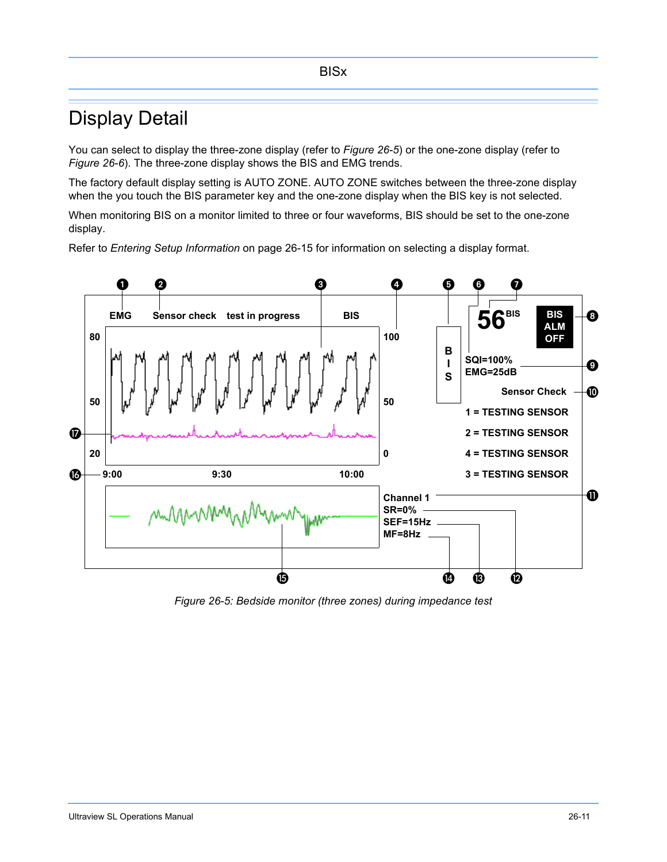# Display Detail

You can select to display the three-zone display (refer to *Figure 26-5*) or the one-zone display (refer to *Figure 26-6*). The three-zone display shows the BIS and EMG trends.

The factory default display setting is AUTO ZONE. AUTO ZONE switches between the three-zone display when the you touch the BIS parameter key and the one-zone display when the BIS key is not selected.

When monitoring BIS on a monitor limited to three or four waveforms, BIS should be set to the one-zone display.

Refer to *Entering Setup Information* on page 26-15 for information on selecting a display format.



*Figure 26-5: Bedside monitor (three zones) during impedance test*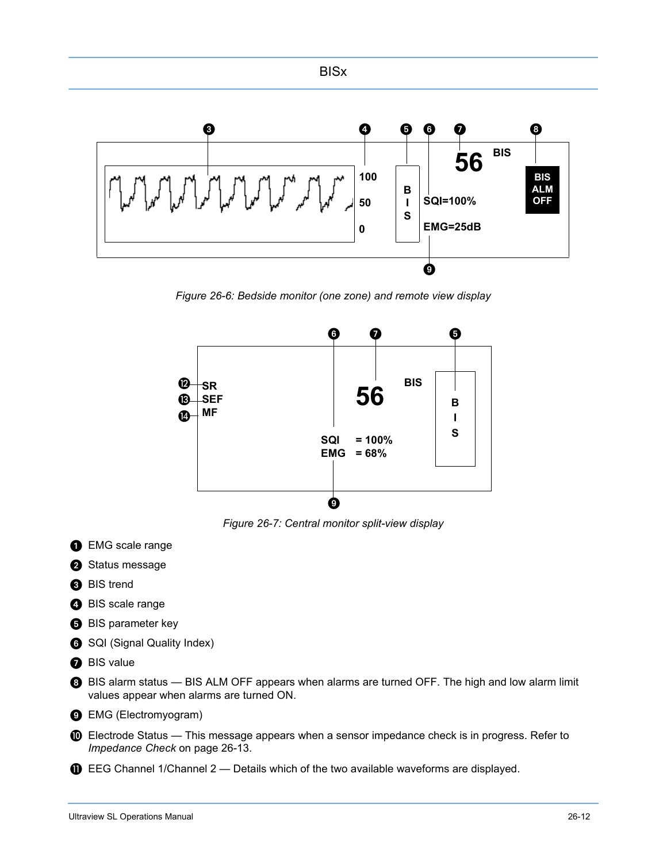

*Figure 26-6: Bedside monitor (one zone) and remote view display*



*Figure 26-7: Central monitor split-view display* 

- **O** EMG scale range
- <sup>2</sup>Status message
- **BIS** trend
- **BIS** scale range
- **B** BIS parameter key
- **6** SQI (Signal Quality Index)
- **BIS** value
- BIS alarm status BIS ALM OFF appears when alarms are turned OFF. The high and low alarm limit values appear when alarms are turned ON.
- **B** EMG (Electromyogram)
- $\bullet$  Electrode Status This message appears when a sensor impedance check is in progress. Refer to *Impedance Check* on page 26-13.
- $\mathbf \Theta$  EEG Channel 1/Channel 2 Details which of the two available waveforms are displayed.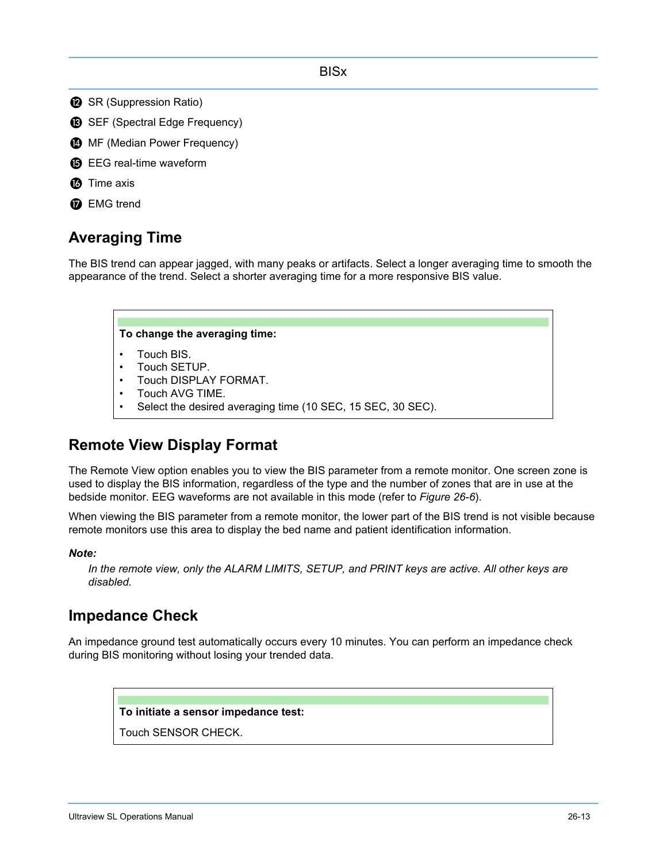- **B** SR (Suppression Ratio)
- **B** SEF (Spectral Edge Frequency)
- **<sup>3</sup>** MF (Median Power Frequency)
- **B** EEG real-time waveform
- **6** Time axis
- **D** EMG trend

# **Averaging Time**

The BIS trend can appear jagged, with many peaks or artifacts. Select a longer averaging time to smooth the appearance of the trend. Select a shorter averaging time for a more responsive BIS value.



# **Remote View Display Format**

The Remote View option enables you to view the BIS parameter from a remote monitor. One screen zone is used to display the BIS information, regardless of the type and the number of zones that are in use at the bedside monitor. EEG waveforms are not available in this mode (refer to *Figure 26-6*).

When viewing the BIS parameter from a remote monitor, the lower part of the BIS trend is not visible because remote monitors use this area to display the bed name and patient identification information.

### *Note:*

*In the remote view, only the ALARM LIMITS, SETUP, and PRINT keys are active. All other keys are disabled.*

# **Impedance Check**

An impedance ground test automatically occurs every 10 minutes. You can perform an impedance check during BIS monitoring without losing your trended data.

#### **To initiate a sensor impedance test:**

Touch SENSOR CHECK.